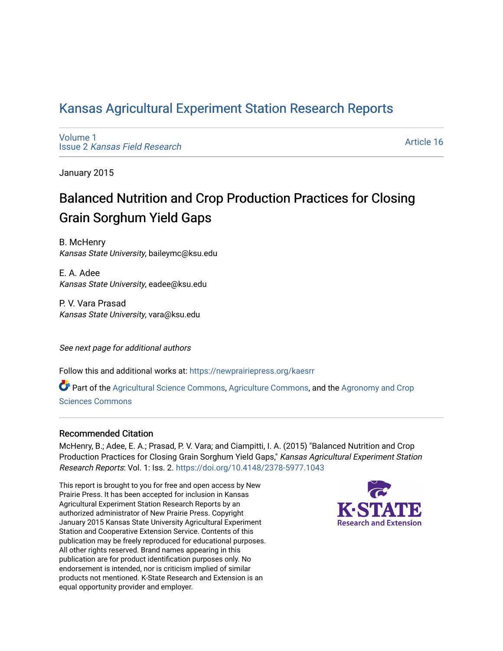# [Kansas Agricultural Experiment Station Research Reports](https://newprairiepress.org/kaesrr)

[Volume 1](https://newprairiepress.org/kaesrr/vol1) Issue 2 [Kansas Field Research](https://newprairiepress.org/kaesrr/vol1/iss2) 

[Article 16](https://newprairiepress.org/kaesrr/vol1/iss2/16) 

January 2015

# Balanced Nutrition and Crop Production Practices for Closing Grain Sorghum Yield Gaps

B. McHenry Kansas State University, baileymc@ksu.edu

E. A. Adee Kansas State University, eadee@ksu.edu

P. V. Vara Prasad Kansas State University, vara@ksu.edu

See next page for additional authors

Follow this and additional works at: [https://newprairiepress.org/kaesrr](https://newprairiepress.org/kaesrr?utm_source=newprairiepress.org%2Fkaesrr%2Fvol1%2Fiss2%2F16&utm_medium=PDF&utm_campaign=PDFCoverPages) 

Part of the [Agricultural Science Commons](http://network.bepress.com/hgg/discipline/1063?utm_source=newprairiepress.org%2Fkaesrr%2Fvol1%2Fiss2%2F16&utm_medium=PDF&utm_campaign=PDFCoverPages), [Agriculture Commons,](http://network.bepress.com/hgg/discipline/1076?utm_source=newprairiepress.org%2Fkaesrr%2Fvol1%2Fiss2%2F16&utm_medium=PDF&utm_campaign=PDFCoverPages) and the [Agronomy and Crop](http://network.bepress.com/hgg/discipline/103?utm_source=newprairiepress.org%2Fkaesrr%2Fvol1%2Fiss2%2F16&utm_medium=PDF&utm_campaign=PDFCoverPages) [Sciences Commons](http://network.bepress.com/hgg/discipline/103?utm_source=newprairiepress.org%2Fkaesrr%2Fvol1%2Fiss2%2F16&utm_medium=PDF&utm_campaign=PDFCoverPages) 

### Recommended Citation

McHenry, B.; Adee, E. A.; Prasad, P. V. Vara; and Ciampitti, I. A. (2015) "Balanced Nutrition and Crop Production Practices for Closing Grain Sorghum Yield Gaps," Kansas Agricultural Experiment Station Research Reports: Vol. 1: Iss. 2.<https://doi.org/10.4148/2378-5977.1043>

This report is brought to you for free and open access by New Prairie Press. It has been accepted for inclusion in Kansas Agricultural Experiment Station Research Reports by an authorized administrator of New Prairie Press. Copyright January 2015 Kansas State University Agricultural Experiment Station and Cooperative Extension Service. Contents of this publication may be freely reproduced for educational purposes. All other rights reserved. Brand names appearing in this publication are for product identification purposes only. No endorsement is intended, nor is criticism implied of similar products not mentioned. K-State Research and Extension is an equal opportunity provider and employer.

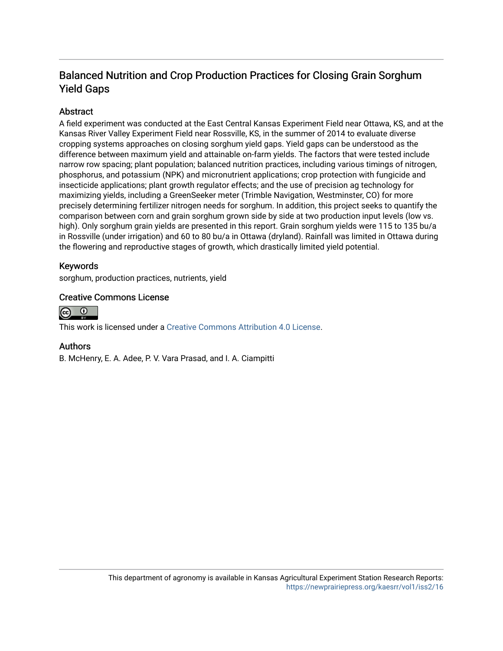## Balanced Nutrition and Crop Production Practices for Closing Grain Sorghum Yield Gaps

## **Abstract**

A field experiment was conducted at the East Central Kansas Experiment Field near Ottawa, KS, and at the Kansas River Valley Experiment Field near Rossville, KS, in the summer of 2014 to evaluate diverse cropping systems approaches on closing sorghum yield gaps. Yield gaps can be understood as the difference between maximum yield and attainable on-farm yields. The factors that were tested include narrow row spacing; plant population; balanced nutrition practices, including various timings of nitrogen, phosphorus, and potassium (NPK) and micronutrient applications; crop protection with fungicide and insecticide applications; plant growth regulator effects; and the use of precision ag technology for maximizing yields, including a GreenSeeker meter (Trimble Navigation, Westminster, CO) for more precisely determining fertilizer nitrogen needs for sorghum. In addition, this project seeks to quantify the comparison between corn and grain sorghum grown side by side at two production input levels (low vs. high). Only sorghum grain yields are presented in this report. Grain sorghum yields were 115 to 135 bu/a in Rossville (under irrigation) and 60 to 80 bu/a in Ottawa (dryland). Rainfall was limited in Ottawa during the flowering and reproductive stages of growth, which drastically limited yield potential.

## Keywords

sorghum, production practices, nutrients, yield

### Creative Commons License



This work is licensed under a [Creative Commons Attribution 4.0 License](https://creativecommons.org/licenses/by/4.0/).

### Authors

B. McHenry, E. A. Adee, P. V. Vara Prasad, and I. A. Ciampitti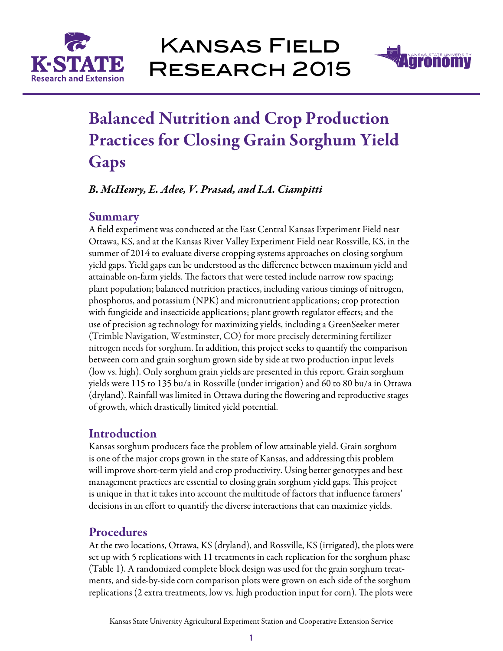



# Balanced Nutrition and Crop Production Practices for Closing Grain Sorghum Yield **Gaps**

*B. McHenry, E. Adee, V. Prasad, and I.A. Ciampitti*

## **Summary**

A field experiment was conducted at the East Central Kansas Experiment Field near Ottawa, KS, and at the Kansas River Valley Experiment Field near Rossville, KS, in the summer of 2014 to evaluate diverse cropping systems approaches on closing sorghum yield gaps. Yield gaps can be understood as the difference between maximum yield and attainable on-farm yields. The factors that were tested include narrow row spacing; plant population; balanced nutrition practices, including various timings of nitrogen, phosphorus, and potassium (NPK) and micronutrient applications; crop protection with fungicide and insecticide applications; plant growth regulator effects; and the use of precision ag technology for maximizing yields, including a GreenSeeker meter (Trimble Navigation, Westminster, CO) for more precisely determining fertilizer nitrogen needs for sorghum. In addition, this project seeks to quantify the comparison between corn and grain sorghum grown side by side at two production input levels (low vs. high). Only sorghum grain yields are presented in this report. Grain sorghum yields were 115 to 135 bu/a in Rossville (under irrigation) and 60 to 80 bu/a in Ottawa (dryland). Rainfall was limited in Ottawa during the flowering and reproductive stages of growth, which drastically limited yield potential.

# **Introduction**

Kansas sorghum producers face the problem of low attainable yield. Grain sorghum is one of the major crops grown in the state of Kansas, and addressing this problem will improve short-term yield and crop productivity. Using better genotypes and best management practices are essential to closing grain sorghum yield gaps. This project is unique in that it takes into account the multitude of factors that influence farmers' decisions in an effort to quantify the diverse interactions that can maximize yields.

# Procedures

At the two locations, Ottawa, KS (dryland), and Rossville, KS (irrigated), the plots were set up with 5 replications with 11 treatments in each replication for the sorghum phase (Table 1). A randomized complete block design was used for the grain sorghum treatments, and side-by-side corn comparison plots were grown on each side of the sorghum replications (2 extra treatments, low vs. high production input for corn). The plots were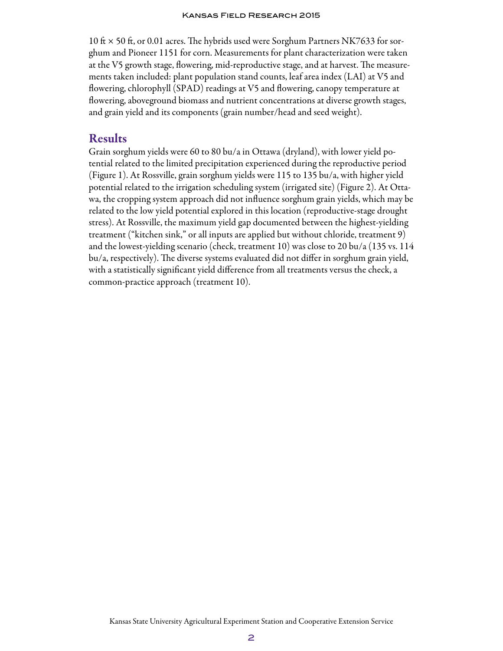10 ft  $\times$  50 ft, or 0.01 acres. The hybrids used were Sorghum Partners NK7633 for sorghum and Pioneer 1151 for corn. Measurements for plant characterization were taken at the V5 growth stage, flowering, mid-reproductive stage, and at harvest. The measurements taken included: plant population stand counts, leaf area index (LAI) at V5 and flowering, chlorophyll (SPAD) readings at V5 and flowering, canopy temperature at flowering, aboveground biomass and nutrient concentrations at diverse growth stages, and grain yield and its components (grain number/head and seed weight).

## Results

Grain sorghum yields were 60 to 80 bu/a in Ottawa (dryland), with lower yield potential related to the limited precipitation experienced during the reproductive period (Figure 1). At Rossville, grain sorghum yields were 115 to 135 bu/a, with higher yield potential related to the irrigation scheduling system (irrigated site) (Figure 2). At Ottawa, the cropping system approach did not influence sorghum grain yields, which may be related to the low yield potential explored in this location (reproductive-stage drought stress). At Rossville, the maximum yield gap documented between the highest-yielding treatment ("kitchen sink," or all inputs are applied but without chloride, treatment 9) and the lowest-yielding scenario (check, treatment 10) was close to 20 bu/a (135 vs. 114 bu/a, respectively). The diverse systems evaluated did not differ in sorghum grain yield, with a statistically significant yield difference from all treatments versus the check, a common-practice approach (treatment 10).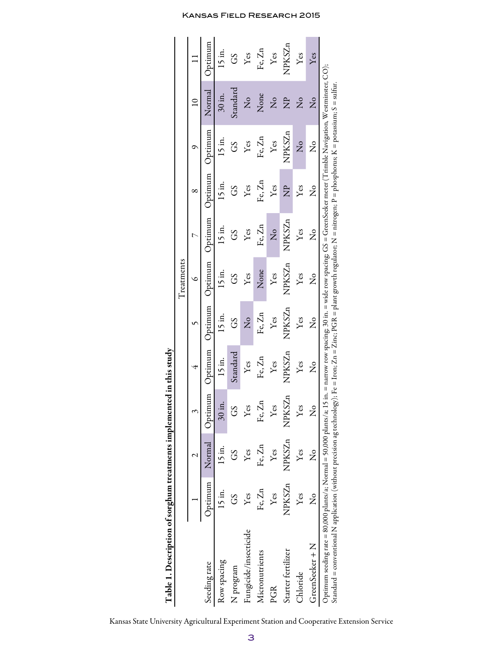| Table 1. Description of sorghum treatments implemented in this study                                                                                                                                                                                                                                                                                                             |                           |               |                         |                           |                           |                      |                      |                      |                      |                        |               |
|----------------------------------------------------------------------------------------------------------------------------------------------------------------------------------------------------------------------------------------------------------------------------------------------------------------------------------------------------------------------------------|---------------------------|---------------|-------------------------|---------------------------|---------------------------|----------------------|----------------------|----------------------|----------------------|------------------------|---------------|
|                                                                                                                                                                                                                                                                                                                                                                                  |                           |               |                         |                           |                           | Treatments           |                      |                      |                      |                        |               |
|                                                                                                                                                                                                                                                                                                                                                                                  |                           |               |                         | 4                         |                           | ٥                    | $\triangleright$     | ∞                    | ᡋ                    | $\overline{a}$         |               |
| Seeding rate                                                                                                                                                                                                                                                                                                                                                                     | <b>Uptimum</b>            | Normal        | Optimum                 | Optimum                   | Optimum                   | <b>Uptimum</b>       | <b>Uptimum</b>       | Jptimum              | <b>Uptimum</b>       | Normal                 | Jptimum       |
| Row spacing                                                                                                                                                                                                                                                                                                                                                                      | 15 in.                    | 15 in.        | $30$ in.                | 15 in.                    | 15 in.                    | 15 in.               | $15$ in.             | 15 in.               | 15 in.               | $30$ in.               | $15$ in.      |
| N program                                                                                                                                                                                                                                                                                                                                                                        | CS                        | 3C)           | CS                      | Standard                  | CS                        | C <sub>S</sub>       | CS                   | CS                   | <b>SS</b>            | Standard               | <b>SS</b>     |
| Fungicide/insecticide                                                                                                                                                                                                                                                                                                                                                            | Yes                       | Yes           | ${\rm Yes}$             | Yes                       | $\mathsf{S}^{\mathsf{o}}$ | $Y$ es               | $Y$ es               | $Y$ es               | Yes                  | $\overline{X}^{\circ}$ | Yes           |
| Micronutrients                                                                                                                                                                                                                                                                                                                                                                   | Fe, Zn                    | Fe, Zn        | Fe, Zn                  | Fe, Zn                    | Fe, Zn                    | None                 | Fe, Zn               | Fe, Zn               | Fe, Zn               | None                   | Fe, Zn        |
| PGR                                                                                                                                                                                                                                                                                                                                                                              | $Y$ es                    | Yes           | $Y$ es                  | Yes                       | Yes                       | Yes                  | $\frac{1}{2}$        | Yes                  | Yes                  | $\overline{X}^{\circ}$ | Yes           |
| Starter fertilizer                                                                                                                                                                                                                                                                                                                                                               | NPKSZn                    | NPKSZn        | NPKSZn                  | NPKSZn                    | NPKSZn                    | NPKSZn               | NPKSZn               | $\overline{z}$       | NPKSZn               | <b>Z</b>               | <b>NPKSZn</b> |
| Chloride                                                                                                                                                                                                                                                                                                                                                                         | $Y$ es                    | Yes           | $Y$ es                  | Yes                       | Yes                       | Yes                  | Yes                  | $Y$ es               | $\frac{1}{2}$        | $\overline{Z}^{\circ}$ | Yes           |
| GreenSeeker + N                                                                                                                                                                                                                                                                                                                                                                  | $\mathsf{S}_{\mathsf{X}}$ | $\frac{1}{2}$ | $\mathsf{\Sigma}^\circ$ | $\mathsf{S}^{\mathsf{O}}$ | ž                         | $\mathsf{z}^{\circ}$ | $\mathsf{S}^{\circ}$ | $\mathsf{z}^{\circ}$ | $\mathsf{S}^{\circ}$ | $\overline{z}$         | Yes           |
| Optimum seeding rate = 80,000 plants/a; Normal = 50,000 plants/a; 15 in. = narrow row spacing; 30 in. = wide row spacing; GS = GreenSeeker meter (Trimble Navigation, Westminster, CO);<br>Standard = conventional N application (without precision ag technology); Fe = Iron; Zn = Zinc; PGR = plant growth regularor; N = nitrogen; P = phosphorus; K = potassium; S = sulfur. |                           |               |                         |                           |                           |                      |                      |                      |                      |                        |               |

### Kansas Field Research 2015

Kansas State University Agricultural Experiment Station and Cooperative Extension Service